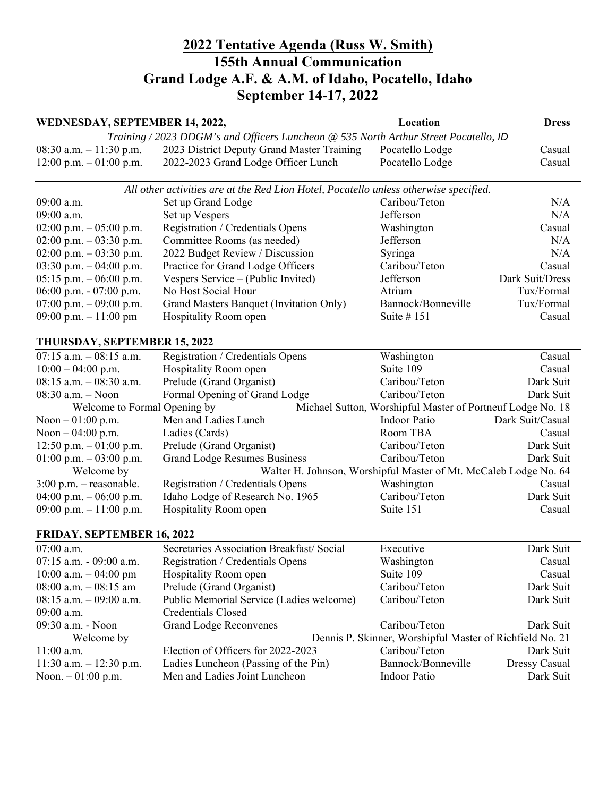# **2022 Tentative Agenda (Russ W. Smith) 155th Annual Communication Grand Lodge A.F. & A.M. of Idaho, Pocatello, Idaho September 14-17, 2022**

| WEDNESDAY, SEPTEMBER 14, 2022,                                                        |                                                                  | Location                                                   | <b>Dress</b>         |  |  |
|---------------------------------------------------------------------------------------|------------------------------------------------------------------|------------------------------------------------------------|----------------------|--|--|
| Training / 2023 DDGM's and Officers Luncheon @ 535 North Arthur Street Pocatello, ID  |                                                                  |                                                            |                      |  |  |
| 08:30 a.m. $-11:30$ p.m.                                                              | 2023 District Deputy Grand Master Training                       | Pocatello Lodge                                            | Casual               |  |  |
| $12:00$ p.m. $-01:00$ p.m.                                                            | 2022-2023 Grand Lodge Officer Lunch                              | Pocatello Lodge                                            | Casual               |  |  |
| All other activities are at the Red Lion Hotel, Pocatello unless otherwise specified. |                                                                  |                                                            |                      |  |  |
| 09:00 a.m.                                                                            | Set up Grand Lodge                                               | Caribou/Teton                                              | N/A                  |  |  |
| 09:00 a.m.                                                                            | Set up Vespers                                                   | Jefferson                                                  | N/A                  |  |  |
| 02:00 p.m. $-$ 05:00 p.m.                                                             | Registration / Credentials Opens                                 | Washington                                                 | Casual               |  |  |
| 02:00 p.m. $-$ 03:30 p.m.                                                             | Committee Rooms (as needed)                                      | Jefferson                                                  | N/A                  |  |  |
| 02:00 p.m. $-$ 03:30 p.m.                                                             | 2022 Budget Review / Discussion                                  | Syringa                                                    | N/A                  |  |  |
| 03:30 p.m. $-$ 04:00 p.m.                                                             | Practice for Grand Lodge Officers                                | Caribou/Teton                                              | Casual               |  |  |
| $05:15$ p.m. $-06:00$ p.m.                                                            | Vespers Service – (Public Invited)                               | Jefferson                                                  | Dark Suit/Dress      |  |  |
| 06:00 p.m. $-07:00$ p.m.                                                              | No Host Social Hour                                              | Atrium                                                     | Tux/Formal           |  |  |
| 07:00 p.m. $-$ 09:00 p.m.                                                             | Grand Masters Banquet (Invitation Only)                          | Bannock/Bonneville                                         | Tux/Formal           |  |  |
| 09:00 p.m. $-11:00$ pm                                                                | Hospitality Room open                                            | Suite $# 151$                                              | Casual               |  |  |
| THURSDAY, SEPTEMBER 15, 2022                                                          |                                                                  |                                                            |                      |  |  |
| $07:15$ a.m. $-08:15$ a.m.                                                            | Registration / Credentials Opens                                 | Washington                                                 | Casual               |  |  |
| $10:00 - 04:00$ p.m.                                                                  | Hospitality Room open                                            | Suite 109                                                  | Casual               |  |  |
| $08:15$ a.m. $-08:30$ a.m.                                                            | Prelude (Grand Organist)                                         | Caribou/Teton                                              | Dark Suit            |  |  |
| 08:30 a.m. - Noon                                                                     | Formal Opening of Grand Lodge                                    | Caribou/Teton                                              | Dark Suit            |  |  |
| Welcome to Formal Opening by                                                          |                                                                  | Michael Sutton, Worshipful Master of Portneuf Lodge No. 18 |                      |  |  |
| Noon $-01:00$ p.m.                                                                    | Men and Ladies Lunch                                             | <b>Indoor Patio</b>                                        | Dark Suit/Casual     |  |  |
| Noon $-04:00$ p.m.                                                                    | Ladies (Cards)                                                   | Room TBA                                                   | Casual               |  |  |
| 12:50 p.m. $-01:00$ p.m.                                                              | Prelude (Grand Organist)                                         | Caribou/Teton                                              | Dark Suit            |  |  |
| 01:00 p.m. $-$ 03:00 p.m.                                                             | <b>Grand Lodge Resumes Business</b>                              | Caribou/Teton                                              | Dark Suit            |  |  |
| Welcome by                                                                            | Walter H. Johnson, Worshipful Master of Mt. McCaleb Lodge No. 64 |                                                            |                      |  |  |
| $3:00$ p.m. - reasonable.                                                             | Registration / Credentials Opens                                 | Washington                                                 | Casual               |  |  |
| 04:00 p.m. $-$ 06:00 p.m.                                                             | Idaho Lodge of Research No. 1965                                 | Caribou/Teton                                              | Dark Suit            |  |  |
| 09:00 p.m. $-11:00$ p.m.                                                              | Hospitality Room open                                            | Suite 151                                                  | Casual               |  |  |
| FRIDAY, SEPTEMBER 16, 2022                                                            |                                                                  |                                                            |                      |  |  |
| 07:00 a.m.                                                                            | Secretaries Association Breakfast/ Social                        | Executive                                                  | Dark Suit            |  |  |
| 07:15 a.m. - 09:00 a.m.                                                               | Registration / Credentials Opens                                 | Washington                                                 | Casual               |  |  |
| $10:00$ a.m. $-04:00$ pm                                                              | Hospitality Room open                                            | Suite 109                                                  | Casual               |  |  |
| 08:00 a.m. $-$ 08:15 am                                                               | Prelude (Grand Organist)                                         | Caribou/Teton                                              | Dark Suit            |  |  |
| $08:15$ a.m. $-09:00$ a.m.                                                            | Public Memorial Service (Ladies welcome)                         | Caribou/Teton                                              | Dark Suit            |  |  |
| 09:00 a.m.                                                                            | <b>Credentials Closed</b>                                        |                                                            |                      |  |  |
| 09:30 a.m. - Noon                                                                     | <b>Grand Lodge Reconvenes</b>                                    | Caribou/Teton                                              | Dark Suit            |  |  |
| Welcome by                                                                            |                                                                  | Dennis P. Skinner, Worshipful Master of Richfield No. 21   |                      |  |  |
| $11:00$ a.m.                                                                          | Election of Officers for 2022-2023                               | Caribou/Teton                                              | Dark Suit            |  |  |
| 11:30 a.m. $- 12:30$ p.m.                                                             | Ladies Luncheon (Passing of the Pin)                             | Bannock/Bonneville                                         | <b>Dressy Casual</b> |  |  |
| Noon. $-01:00$ p.m.                                                                   | Men and Ladies Joint Luncheon                                    | Indoor Patio                                               | Dark Suit            |  |  |
|                                                                                       |                                                                  |                                                            |                      |  |  |